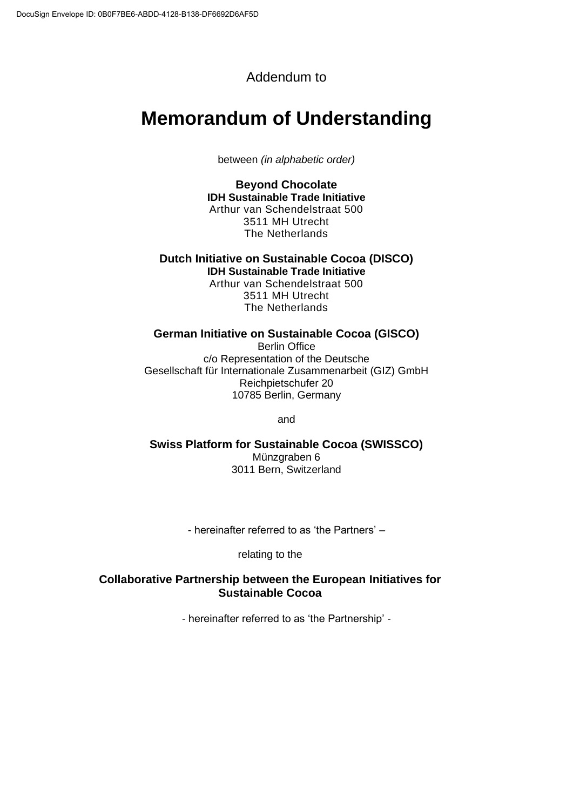# Addendum to

# **Memorandum of Understanding**

between *(in alphabetic order)*

**Beyond Chocolate IDH Sustainable Trade Initiative** Arthur van Schendelstraat 500 3511 MH Utrecht The Netherlands

**Dutch Initiative on Sustainable Cocoa (DISCO) IDH Sustainable Trade Initiative**

Arthur van Schendelstraat 500 3511 MH Utrecht The Netherlands

### **German Initiative on Sustainable Cocoa (GISCO)**

Berlin Office c/o Representation of the Deutsche Gesellschaft für Internationale Zusammenarbeit (GIZ) GmbH Reichpietschufer 20 10785 Berlin, Germany

and

**Swiss Platform for Sustainable Cocoa (SWISSCO)** Münzgraben 6 3011 Bern, Switzerland

- hereinafter referred to as 'the Partners' –

relating to the

# **Collaborative Partnership between the European Initiatives for Sustainable Cocoa**

- hereinafter referred to as 'the Partnership' -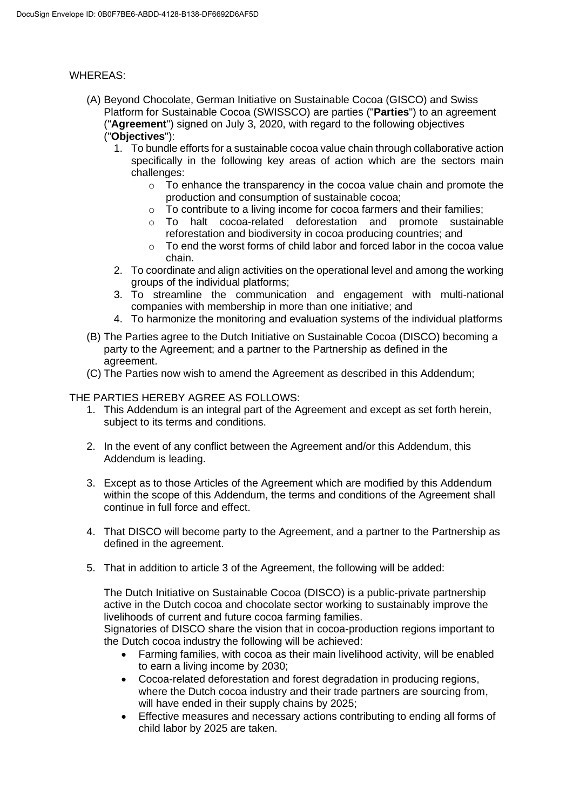#### WHEREAS:

- (A) Beyond Chocolate, German Initiative on Sustainable Cocoa (GISCO) and Swiss Platform for Sustainable Cocoa (SWISSCO) are parties ("**Parties**") to an agreement ("**Agreement**") signed on July 3, 2020, with regard to the following objectives ("**Objectives**"):
	- 1. To bundle efforts for a sustainable cocoa value chain through collaborative action specifically in the following key areas of action which are the sectors main challenges:
		- o To enhance the transparency in the cocoa value chain and promote the production and consumption of sustainable cocoa;
		- o To contribute to a living income for cocoa farmers and their families;
		- o To halt cocoa-related deforestation and promote sustainable reforestation and biodiversity in cocoa producing countries; and
		- $\circ$  To end the worst forms of child labor and forced labor in the cocoa value chain.
	- 2. To coordinate and align activities on the operational level and among the working groups of the individual platforms;
	- 3. To streamline the communication and engagement with multi-national companies with membership in more than one initiative; and
	- 4. To harmonize the monitoring and evaluation systems of the individual platforms
- (B) The Parties agree to the Dutch Initiative on Sustainable Cocoa (DISCO) becoming a party to the Agreement; and a partner to the Partnership as defined in the agreement.
- (C) The Parties now wish to amend the Agreement as described in this Addendum;

# THE PARTIES HEREBY AGREE AS FOLLOWS:

- 1. This Addendum is an integral part of the Agreement and except as set forth herein, subject to its terms and conditions.
- 2. In the event of any conflict between the Agreement and/or this Addendum, this Addendum is leading.
- 3. Except as to those Articles of the Agreement which are modified by this Addendum within the scope of this Addendum, the terms and conditions of the Agreement shall continue in full force and effect.
- 4. That DISCO will become party to the Agreement, and a partner to the Partnership as defined in the agreement.
- 5. That in addition to article 3 of the Agreement, the following will be added:

The Dutch Initiative on Sustainable Cocoa (DISCO) is a public-private partnership active in the Dutch cocoa and chocolate sector working to sustainably improve the livelihoods of current and future cocoa farming families.

Signatories of DISCO share the vision that in cocoa-production regions important to the Dutch cocoa industry the following will be achieved:

- Farming families, with cocoa as their main livelihood activity, will be enabled to earn a living income by 2030;
- Cocoa-related deforestation and forest degradation in producing regions, where the Dutch cocoa industry and their trade partners are sourcing from, will have ended in their supply chains by 2025;
- Effective measures and necessary actions contributing to ending all forms of child labor by 2025 are taken.